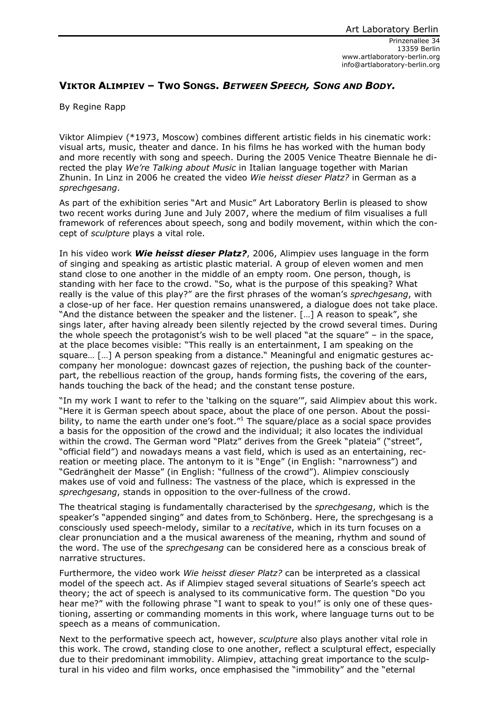## **VIKTOR ALIMPIEV – TWO SONGS.** *BETWEEN SPEECH, SONG AND BODY.*

By Regine Rapp

Viktor Alimpiev (\*1973, Moscow) combines different artistic fields in his cinematic work: visual arts, music, theater and dance. In his films he has worked with the human body and more recently with song and speech. During the 2005 Venice Theatre Biennale he directed the play *We're Talking about Music* in Italian language together with Marian Zhunin. In Linz in 2006 he created the video *Wie heisst dieser Platz?* in German as a *sprechgesang*.

As part of the exhibition series "Art and Music" Art Laboratory Berlin is pleased to show two recent works during June and July 2007, where the medium of film visualises a full framework of references about speech, song and bodily movement, within which the concept of *sculpture* plays a vital role.

In his video work *Wie heisst dieser Platz?*, 2006, Alimpiev uses language in the form of singing and speaking as artistic plastic material. A group of eleven women and men stand close to one another in the middle of an empty room. One person, though, is standing with her face to the crowd. "So, what is the purpose of this speaking? What really is the value of this play?" are the first phrases of the woman's *sprechgesang*, with a close-up of her face. Her question remains unanswered, a dialogue does not take place. "And the distance between the speaker and the listener. […] A reason to speak", she sings later, after having already been silently rejected by the crowd several times. During the whole speech the protagonist's wish to be well placed "at the square" – in the space, at the place becomes visible: "This really is an entertainment, I am speaking on the square… […] A person speaking from a distance." Meaningful and enigmatic gestures accompany her monologue: downcast gazes of rejection, the pushing back of the counterpart, the rebellious reaction of the group, hands forming fists, the covering of the ears, hands touching the back of the head; and the constant tense posture.

"In my work I want to refer to the 'talking on the square'", said Alimpiev about this work. "Here it is German speech about space, about the place of one person. About the possibility, to name the earth under one's foot." $1$  The square/place as a social space provides a basis for the opposition of the crowd and the individual; it also locates the individual within the crowd. The German word "Platz" derives from the Greek "plateia" ("street", "official field") and nowadays means a vast field, which is used as an entertaining, recreation or meeting place. The antonym to it is "Enge" (in English: "narrowness") and "Gedrängheit der Masse" (in English: "fullness of the crowd"). Alimpiev consciously makes use of void and fullness: The vastness of the place, which is expressed in the *sprechgesang*, stands in opposition to the over-fullness of the crowd.

The theatrical staging is fundamentally characterised by the *sprechgesang*, which is the speaker's "appended singing" and dates from to Schönberg. Here, the sprechgesang is a consciously used speech-melody, similar to a *recitative*, which in its turn focuses on a clear pronunciation and a the musical awareness of the meaning, rhythm and sound of the word. The use of the *sprechgesang* can be considered here as a conscious break of narrative structures.

Furthermore, the video work *Wie heisst dieser Platz?* can be interpreted as a classical model of the speech act. As if Alimpiev staged several situations of Searle's speech act theory; the act of speech is analysed to its communicative form. The question "Do you hear me?" with the following phrase "I want to speak to you!" is only one of these questioning, asserting or commanding moments in this work, where language turns out to be speech as a means of communication.

Next to the performative speech act, however, *sculpture* also plays another vital role in this work. The crowd, standing close to one another, reflect a sculptural effect, especially due to their predominant immobility. Alimpiev, attaching great importance to the sculptural in his video and film works, once emphasised the "immobility" and the "eternal